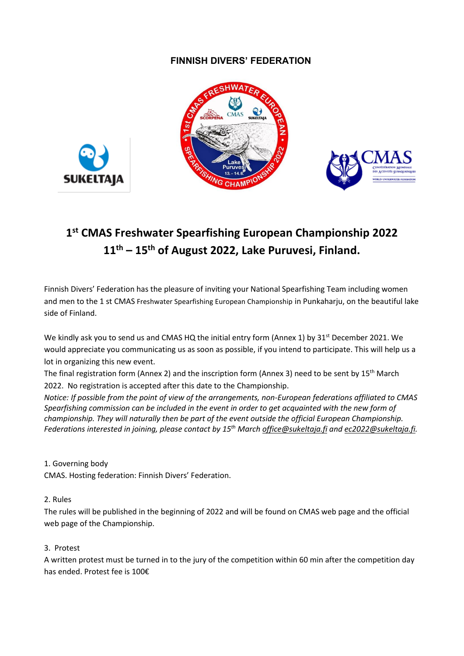## **FINNISH DIVERS' FEDERATION**





# **1 st CMAS Freshwater Spearfishing European Championship 2022 11th – 15th of August 2022, Lake Puruvesi, Finland.**

Finnish Divers' Federation has the pleasure of inviting your National Spearfishing Team including women and men to the 1 st CMAS Freshwater Spearfishing European Championship in Punkaharju, on the beautiful lake side of Finland.

We kindly ask you to send us and CMAS HQ the initial entry form (Annex 1) by 31<sup>st</sup> December 2021. We would appreciate you communicating us as soon as possible, if you intend to participate. This will help us a lot in organizing this new event.

The final registration form (Annex 2) and the inscription form (Annex 3) need to be sent by  $15<sup>th</sup>$  March 2022. No registration is accepted after this date to the Championship.

*Notice: If possible from the point of view of the arrangements, non-European federations affiliated to CMAS Spearfishing commission can be included in the event in order to get acquainted with the new form of championship. They will naturally then be part of the event outside the official European Championship. Federations interested in joining, please contact by 15th Marc[h office@sukeltaja.fi](mailto:office@sukeltaja.fi) and [ec2022@sukeltaja.fi.](mailto:ec2022@sukeltaja.fi)* 

### 1. Governing body

**SUKELTAJA** 

CMAS. Hosting federation: Finnish Divers' Federation.

### 2. Rules

The rules will be published in the beginning of 2022 and will be found on CMAS web page and the official web page of the Championship.

### 3. Protest

A written protest must be turned in to the jury of the competition within 60 min after the competition day has ended. Protest fee is 100€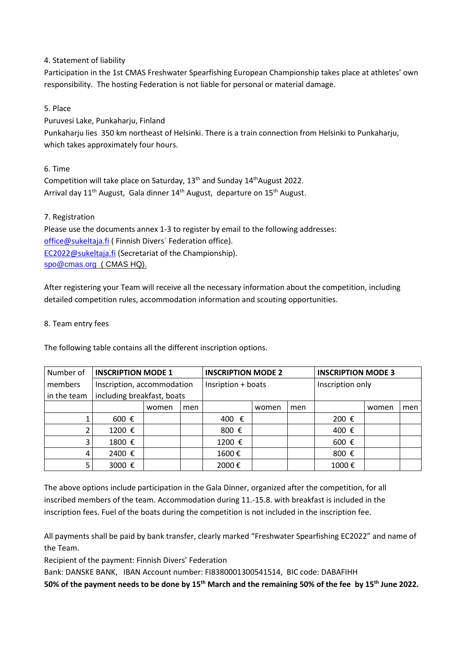4. Statement of liability

Participation in the 1st CMAS Freshwater Spearfishing European Championship takes place at athletes' own responsibility. The hosting Federation is not liable for personal or material damage.

5. Place

Puruvesi Lake, Punkaharju, Finland

Punkaharju lies 350 km northeast of Helsinki. There is a train connection from Helsinki to Punkaharju, which takes approximately four hours.

6. Time Competition will take place on Saturday,  $13<sup>th</sup>$  and Sunday  $14<sup>th</sup>$ August 2022. Arrival day 11<sup>th</sup> August, Gala dinner 14<sup>th</sup> August, departure on 15<sup>th</sup> August.

### 7. Registration

Please use the documents annex 1-3 to register by email to the following addresses: [office@sukeltaja.fi](mailto:office@sukeltaja.fi) ( Finnish Divers' Federation office). [EC2022@sukeltaja.fi](mailto:EC2022@sukeltaja.fi) (Secretariat of the Championship). [spo@cmas.org](mailto:spo@cmas.org) (CMAS HQ).

After registering your Team will receive all the necessary information about the competition, including detailed competition rules, accommodation information and scouting opportunities.

### 8. Team entry fees

The following table contains all the different inscription options.

| Number of   | <b>INSCRIPTION MODE 1</b>  |       |     | <b>INSCRIPTION MODE 2</b> |       |     | <b>INSCRIPTION MODE 3</b> |       |     |
|-------------|----------------------------|-------|-----|---------------------------|-------|-----|---------------------------|-------|-----|
| members     | Inscription, accommodation |       |     | Insription + boats        |       |     | Inscription only          |       |     |
| in the team | including breakfast, boats |       |     |                           |       |     |                           |       |     |
|             |                            | women | men |                           | women | men |                           | women | men |
|             | 600 €                      |       |     | 400 €                     |       |     | 200 €                     |       |     |
|             | 1200 €                     |       |     | 800 €                     |       |     | 400 €                     |       |     |
|             | 1800 €                     |       |     | 1200 €                    |       |     | 600 €                     |       |     |
| 4           | 2400 €                     |       |     | 1600€                     |       |     | 800 €                     |       |     |
|             | 3000 €                     |       |     | 2000€                     |       |     | 1000€                     |       |     |

The above options include participation in the Gala Dinner, organized after the competition, for all inscribed members of the team. Accommodation during 11.-15.8. with breakfast is included in the inscription fees. Fuel of the boats during the competition is not included in the inscription fee.

All payments shall be paid by bank transfer, clearly marked "Freshwater Spearfishing EC2022" and name of the Team.

Recipient of the payment: Finnish Divers' Federation

Bank: DANSKE BANK, IBAN Account number: FI8380001300541514, BIC code: DABAFIHH

**50% of the payment needs to be done by 15th March and the remaining 50% of the fee by 15th June 2022.**